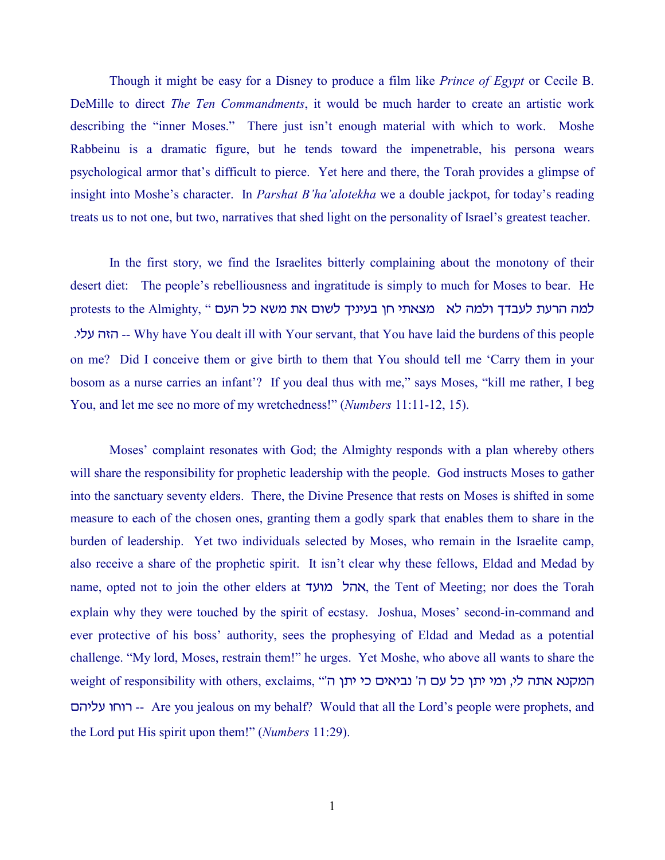Though it might be easy for a Disney to produce a film like *Prince of Egypt* or Cecile B. DeMille to direct *The Ten Commandments*, it would be much harder to create an artistic work describing the "inner Moses." There just isn't enough material with which to work. Moshe Rabbeinu is a dramatic figure, but he tends toward the impenetrable, his persona wears psychological armor that's difficult to pierce. Yet here and there, the Torah provides a glimpse of insight into Moshe's character. In *Parshat B'ha'alotekha* we a double jackpot, for today's reading treats us to not one, but two, narratives that shed light on the personality of Israel's greatest teacher.

In the first story, we find the Israelites bitterly complaining about the monotony of their desert diet: The people's rebelliousness and ingratitude is simply to much for Moses to bear. He protests to the Almighty, " למה הרעת לעבדך ולמה לא נוצאתי חן בעיניך לשום את משא כל העם -- האה עלי. Why have You dealt ill with Your servant, that You have laid the burdens of this people on me? Did I conceive them or give birth to them that You should tell me 'Carry them in your bosom as a nurse carries an infant'? If you deal thus with me," says Moses, "kill me rather, I beg You, and let me see no more of my wretchedness!" (*Numbers* 11:11-12, 15).

Moses' complaint resonates with God; the Almighty responds with a plan whereby others will share the responsibility for prophetic leadership with the people. God instructs Moses to gather into the sanctuary seventy elders. There, the Divine Presence that rests on Moses is shifted in some measure to each of the chosen ones, granting them a godly spark that enables them to share in the burden of leadership. Yet two individuals selected by Moses, who remain in the Israelite camp, also receive a share of the prophetic spirit. It isn't clear why these fellows, Eldad and Medad by name, opted not to join the other elders at אהל מועד, the Tent of Meeting; nor does the Torah explain why they were touched by the spirit of ecstasy. Joshua, Moses' second-in-command and ever protective of his boss' authority, sees the prophesying of Eldad and Medad as a potential challenge. "My lord, Moses, restrain them!" he urges. Yet Moshe, who above all wants to share the weight of responsibility with others, exclaims, "המקנא אתה לי, ומי יתן כל עם ה' נביאים כי יתן ה ovhkg ujur -- Are you jealous on my behalf? Would that all the Lord's people were prophets, and the Lord put His spirit upon them!" (*Numbers* 11:29).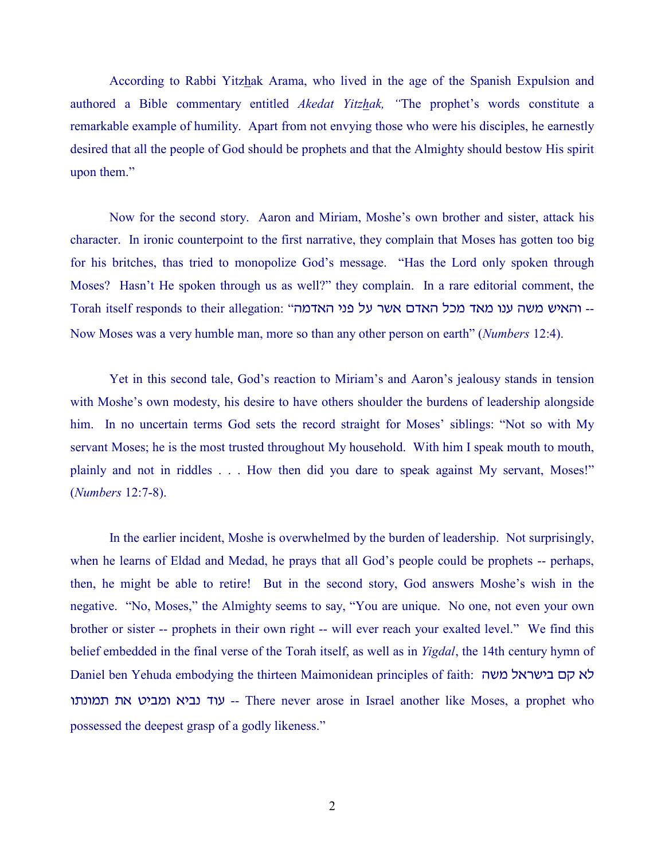According to Rabbi Yitzhak Arama, who lived in the age of the Spanish Expulsion and authored a Bible commentary entitled *Akedat Yitzhak, "*The prophet's words constitute a remarkable example of humility. Apart from not envying those who were his disciples, he earnestly desired that all the people of God should be prophets and that the Almighty should bestow His spirit upon them."

Now for the second story. Aaron and Miriam, Moshe's own brother and sister, attack his character. In ironic counterpoint to the first narrative, they complain that Moses has gotten too big for his britches, thas tried to monopolize God's message. "Has the Lord only spoken through Moses? Hasn't He spoken through us as well?" they complain. In a rare editorial comment, the Torah itself responds to their allegation: "האיש משה ענו מאד מכל האדם אשר על פני האדמה Now Moses was a very humble man, more so than any other person on earth" (*Numbers* 12:4).

Yet in this second tale, God's reaction to Miriam's and Aaron's jealousy stands in tension with Moshe's own modesty, his desire to have others shoulder the burdens of leadership alongside him. In no uncertain terms God sets the record straight for Moses' siblings: "Not so with My servant Moses; he is the most trusted throughout My household. With him I speak mouth to mouth, plainly and not in riddles . . . How then did you dare to speak against My servant, Moses!" (*Numbers* 12:7-8).

In the earlier incident, Moshe is overwhelmed by the burden of leadership. Not surprisingly, when he learns of Eldad and Medad, he prays that all God's people could be prophets -- perhaps, then, he might be able to retire! But in the second story, God answers Moshe's wish in the negative. "No, Moses," the Almighty seems to say, "You are unique. No one, not even your own brother or sister -- prophets in their own right -- will ever reach your exalted level." We find this belief embedded in the final verse of the Torah itself, as well as in *Yigdal*, the 14th century hymn of Daniel ben Yehuda embodying the thirteen Maimonidean principles of faith: לא קם בישראל משה עוד נביא ומביט את תמונתו -- There never arose in Israel another like Moses, a prophet who possessed the deepest grasp of a godly likeness."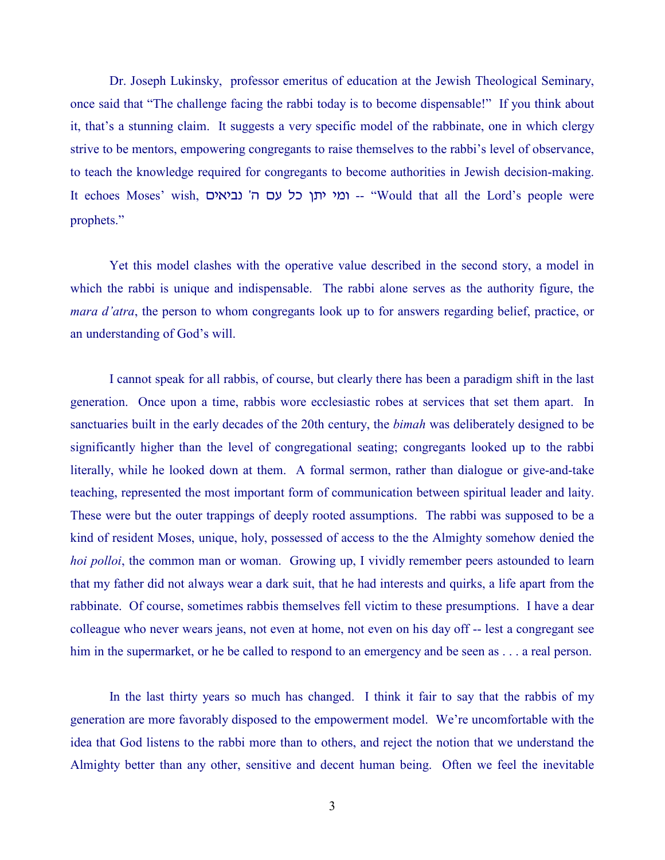Dr. Joseph Lukinsky, professor emeritus of education at the Jewish Theological Seminary, once said that "The challenge facing the rabbi today is to become dispensable!" If you think about it, that's a stunning claim. It suggests a very specific model of the rabbinate, one in which clergy strive to be mentors, empowering congregants to raise themselves to the rabbi's level of observance, to teach the knowledge required for congregants to become authorities in Jewish decision-making. It echoes Moses' wish, ומי יתן כל עם ה' נביאים -- "Would that all the Lord's people were prophets."

Yet this model clashes with the operative value described in the second story, a model in which the rabbi is unique and indispensable. The rabbi alone serves as the authority figure, the *mara d'atra*, the person to whom congregants look up to for answers regarding belief, practice, or an understanding of God's will.

I cannot speak for all rabbis, of course, but clearly there has been a paradigm shift in the last generation. Once upon a time, rabbis wore ecclesiastic robes at services that set them apart. In sanctuaries built in the early decades of the 20th century, the *bimah* was deliberately designed to be significantly higher than the level of congregational seating; congregants looked up to the rabbi literally, while he looked down at them. A formal sermon, rather than dialogue or give-and-take teaching, represented the most important form of communication between spiritual leader and laity. These were but the outer trappings of deeply rooted assumptions. The rabbi was supposed to be a kind of resident Moses, unique, holy, possessed of access to the the Almighty somehow denied the *hoi polloi*, the common man or woman. Growing up, I vividly remember peers astounded to learn that my father did not always wear a dark suit, that he had interests and quirks, a life apart from the rabbinate. Of course, sometimes rabbis themselves fell victim to these presumptions. I have a dear colleague who never wears jeans, not even at home, not even on his day off -- lest a congregant see him in the supermarket, or he be called to respond to an emergency and be seen as . . . a real person.

In the last thirty years so much has changed. I think it fair to say that the rabbis of my generation are more favorably disposed to the empowerment model. We're uncomfortable with the idea that God listens to the rabbi more than to others, and reject the notion that we understand the Almighty better than any other, sensitive and decent human being. Often we feel the inevitable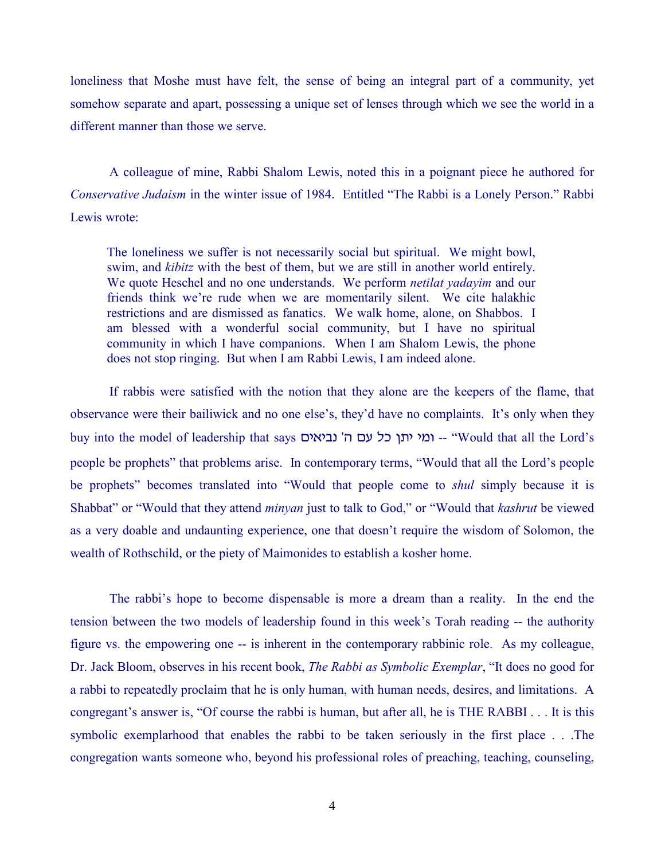loneliness that Moshe must have felt, the sense of being an integral part of a community, yet somehow separate and apart, possessing a unique set of lenses through which we see the world in a different manner than those we serve.

A colleague of mine, Rabbi Shalom Lewis, noted this in a poignant piece he authored for *Conservative Judaism* in the winter issue of 1984. Entitled "The Rabbi is a Lonely Person." Rabbi Lewis wrote:

The loneliness we suffer is not necessarily social but spiritual. We might bowl, swim, and *kibitz* with the best of them, but we are still in another world entirely. We quote Heschel and no one understands. We perform *netilat yadayim* and our friends think we're rude when we are momentarily silent. We cite halakhic restrictions and are dismissed as fanatics. We walk home, alone, on Shabbos. I am blessed with a wonderful social community, but I have no spiritual community in which I have companions. When I am Shalom Lewis, the phone does not stop ringing. But when I am Rabbi Lewis, I am indeed alone.

If rabbis were satisfied with the notion that they alone are the keepers of the flame, that observance were their bailiwick and no one else's, they'd have no complaints. It's only when they buy into the model of leadership that says ומי יתן כל עם ה' נביאים -- "Would that all the Lord's people be prophets" that problems arise. In contemporary terms, "Would that all the Lord's people be prophets" becomes translated into "Would that people come to *shul* simply because it is Shabbat" or "Would that they attend *minyan* just to talk to God," or "Would that *kashrut* be viewed as a very doable and undaunting experience, one that doesn't require the wisdom of Solomon, the wealth of Rothschild, or the piety of Maimonides to establish a kosher home.

The rabbi's hope to become dispensable is more a dream than a reality. In the end the tension between the two models of leadership found in this week's Torah reading -- the authority figure vs. the empowering one -- is inherent in the contemporary rabbinic role. As my colleague, Dr. Jack Bloom, observes in his recent book, *The Rabbi as Symbolic Exemplar*, "It does no good for a rabbi to repeatedly proclaim that he is only human, with human needs, desires, and limitations. A congregant's answer is, "Of course the rabbi is human, but after all, he is THE RABBI . . . It is this symbolic exemplarhood that enables the rabbi to be taken seriously in the first place . . .The congregation wants someone who, beyond his professional roles of preaching, teaching, counseling,